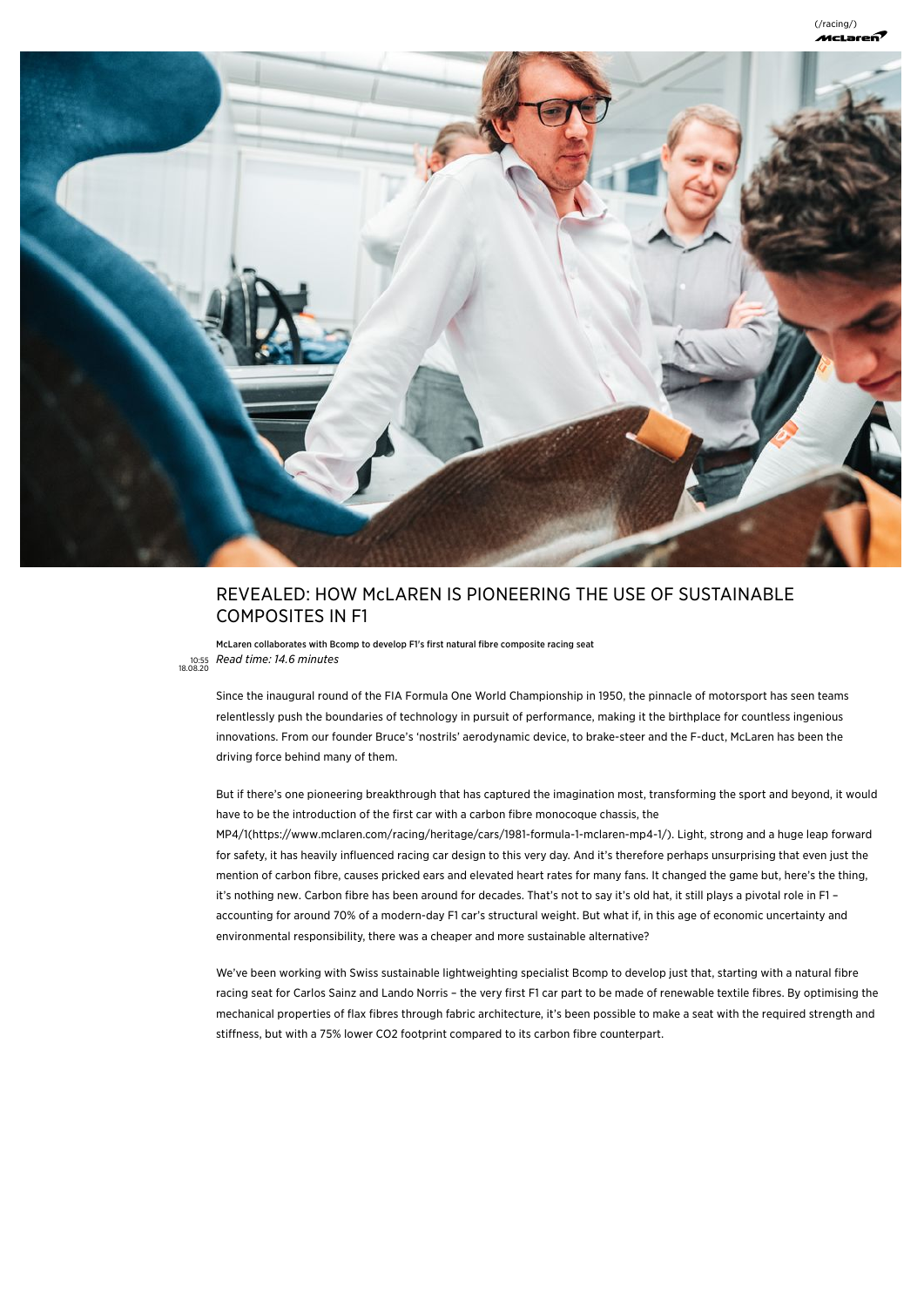

# REVEALED: HOW McLAREN IS PIONEERING THE USE OF SUSTAINABLE COMPOSITES IN F1

McLaren collaborates with Bcomp to develop F1's first natural fibre composite racing seat 10:55 18.08.20 Rea<sup>d</sup> time: <sup>1</sup>4.<sup>6</sup> minute<sup>s</sup>

Since the inaugural round of the FIA Formula One World Championship in 1950, the pinnacle of motorsport has seen teams relentlessly push the boundaries of technology in pursuit of performance, making it the birthplace for countless ingenious innovations. From our founder Bruce's 'nostrils' aerodynamic device, to brake-steer and the F-duct, McLaren has been the driving force behind many of them.

But if there's one pioneering breakthrough that has captured the imagination most, transforming the sport and beyond, it would have to be the introduction of the first car with a carbon fibre monocoque chassis, the

[MP4/1\(https://www.mclaren.com/racing/heritage/cars/1981-formula-1-mclaren-mp4-1/\).](https://www.mclaren.com/racing/heritage/cars/1981-formula-1-mclaren-mp4-1/) Light, strong and a huge leap forward for safety, it has heavily influenced racing car design to this very day. And it's therefore perhaps unsurprising that even just the mention of carbon fibre, causes pricked ears and elevated heart rates for many fans. It changed the game but, here's the thing, it's nothing new. Carbon fibre has been around for decades. That's not to say it's old hat, it still plays a pivotal role in F1 – accounting for around 70% of a modern-day F1 car's structural weight. But what if, in this age of economic uncertainty and environmental responsibility, there was a cheaper and more sustainable alternative?

We've been working with Swiss sustainable lightweighting specialist Bcomp to develop just that, starting with a natural fibre racing seat for Carlos Sainz and Lando Norris – the very first F1 car part to be made of renewable textile fibres. By optimising the mechanical properties of flax fibres through fabric architecture, it's been possible to make a seat with the required strength and stiffness, but with a 75% lower CO2 footprint compared to its carbon fibre counterpart.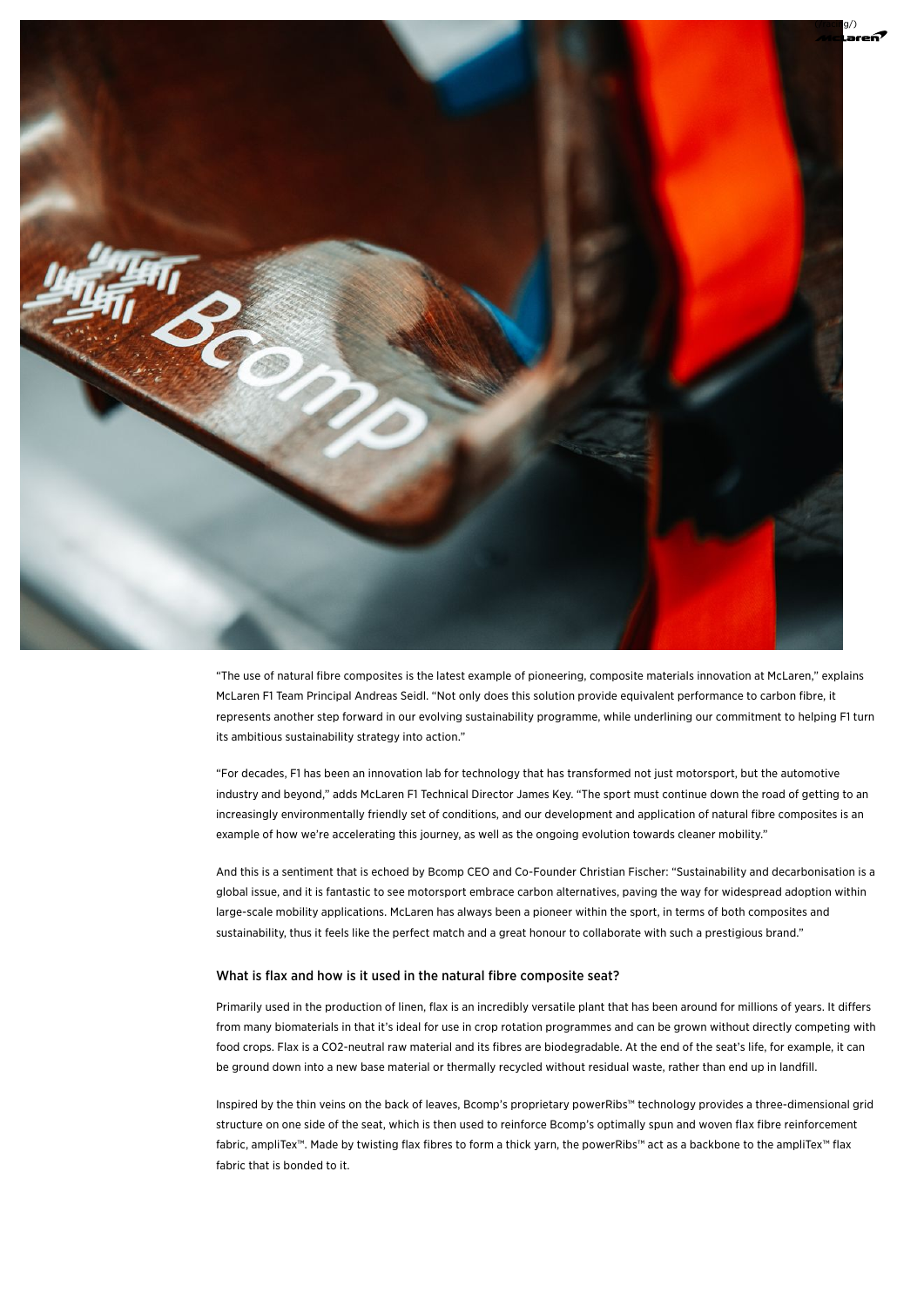

"The use of natural fibre composites is the latest example of pioneering, composite materials innovation at McLaren," explains McLaren F1 Team Principal Andreas Seidl. "Not only does this solution provide equivalent performance to carbon fibre, it represents another step forward in our evolving sustainability programme, while underlining our commitment to helping F1 turn its ambitious sustainability strategy into action."

"For decades, F1 has been an innovation lab for technology that has transformed not just motorsport, but the automotive industry and beyond," adds McLaren F1 Technical Director James Key. "The sport must continue down the road of getting to an increasingly environmentally friendly set of conditions, and our development and application of natural fibre composites is an example of how we're accelerating this journey, as well as the ongoing evolution towards cleaner mobility."

And this is a sentiment that is echoed by Bcomp CEO and Co-Founder Christian Fischer: "Sustainability and decarbonisation is a global issue, and it is fantastic to see motorsport embrace carbon alternatives, paving the way for widespread adoption within large-scale mobility applications. McLaren has always been a pioneer within the sport, in terms of both composites and sustainability, thus it feels like the perfect match and a great honour to collaborate with such a prestigious brand."

#### What is flax and how is it used in the natural fibre composite seat?

Primarily used in the production of linen, flax is an incredibly versatile plant that has been around for millions of years. It differs from many biomaterials in that it's ideal for use in crop rotation programmes and can be grown without directly competing with food crops. Flax is a CO2-neutral raw material and its fibres are biodegradable. At the end of the seat's life, for example, it can be ground down into a new base material or thermally recycled without residual waste, rather than end up in landfill.

Inspired by the thin veins on the back of leaves, Bcomp's proprietary powerRibs™ technology provides a three-dimensional grid structure on one side of the seat, which is then used to reinforce Bcomp's optimally spun and woven flax fibre reinforcement fabric, ampliTex™. Made by twisting flax fibres to form a thick yarn, the powerRibs™ act as a backbone to the ampliTex™ flax fabric that is bonded to it.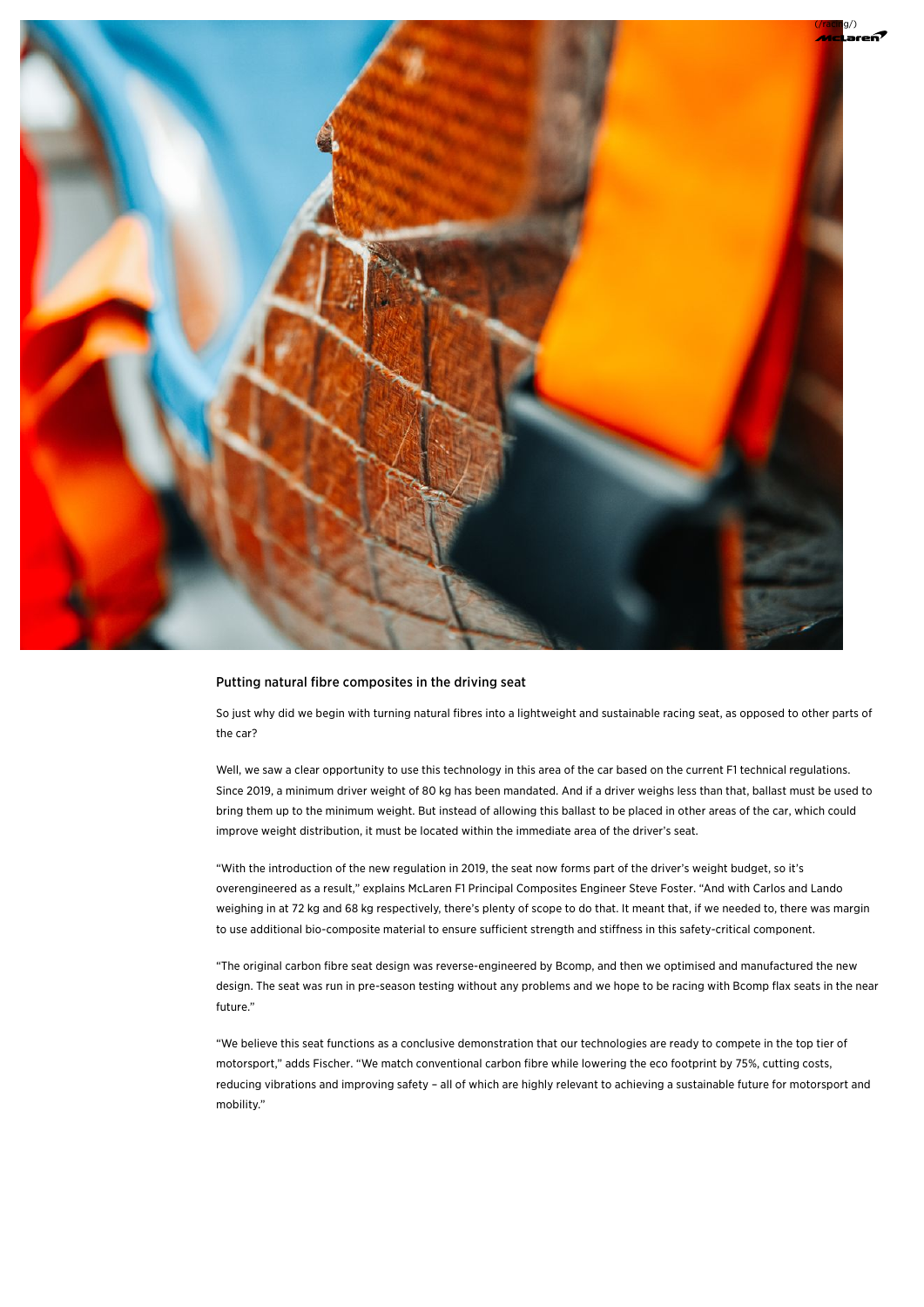

## Putting natural fibre composites in the driving seat

So just why did we begin with turning natural fibres into a lightweight and sustainable racing seat, as opposed to other parts of the car?

Well, we saw a clear opportunity to use this technology in this area of the car based on the current F1 technical regulations. Since 2019, a minimum driver weight of 80 kg has been mandated. And if a driver weighs less than that, ballast must be used to bring them up to the minimum weight. But instead of allowing this ballast to be placed in other areas of the car, which could improve weight distribution, it must be located within the immediate area of the driver's seat.

"With the introduction of the new regulation in 2019, the seat now forms part of the driver's weight budget, so it's overengineered as a result," explains McLaren F1 Principal Composites Engineer Steve Foster. "And with Carlos and Lando weighing in at 72 kg and 68 kg respectively, there's plenty of scope to do that. It meant that, if we needed to, there was margin to use additional bio-composite material to ensure sufficient strength and stiffness in this safety-critical component.

"The original carbon fibre seat design was reverse-engineered by Bcomp, and then we optimised and manufactured the new design. The seat was run in pre-season testing without any problems and we hope to be racing with Bcomp flax seats in the near future."

"We believe this seat functions as a conclusive demonstration that our technologies are ready to compete in the top tier of motorsport," adds Fischer. "We match conventional carbon fibre while lowering the eco footprint by 75%, cutting costs, reducing vibrations and improving safety – all of which are highly relevant to achieving a sustainable future for motorsport and mobility."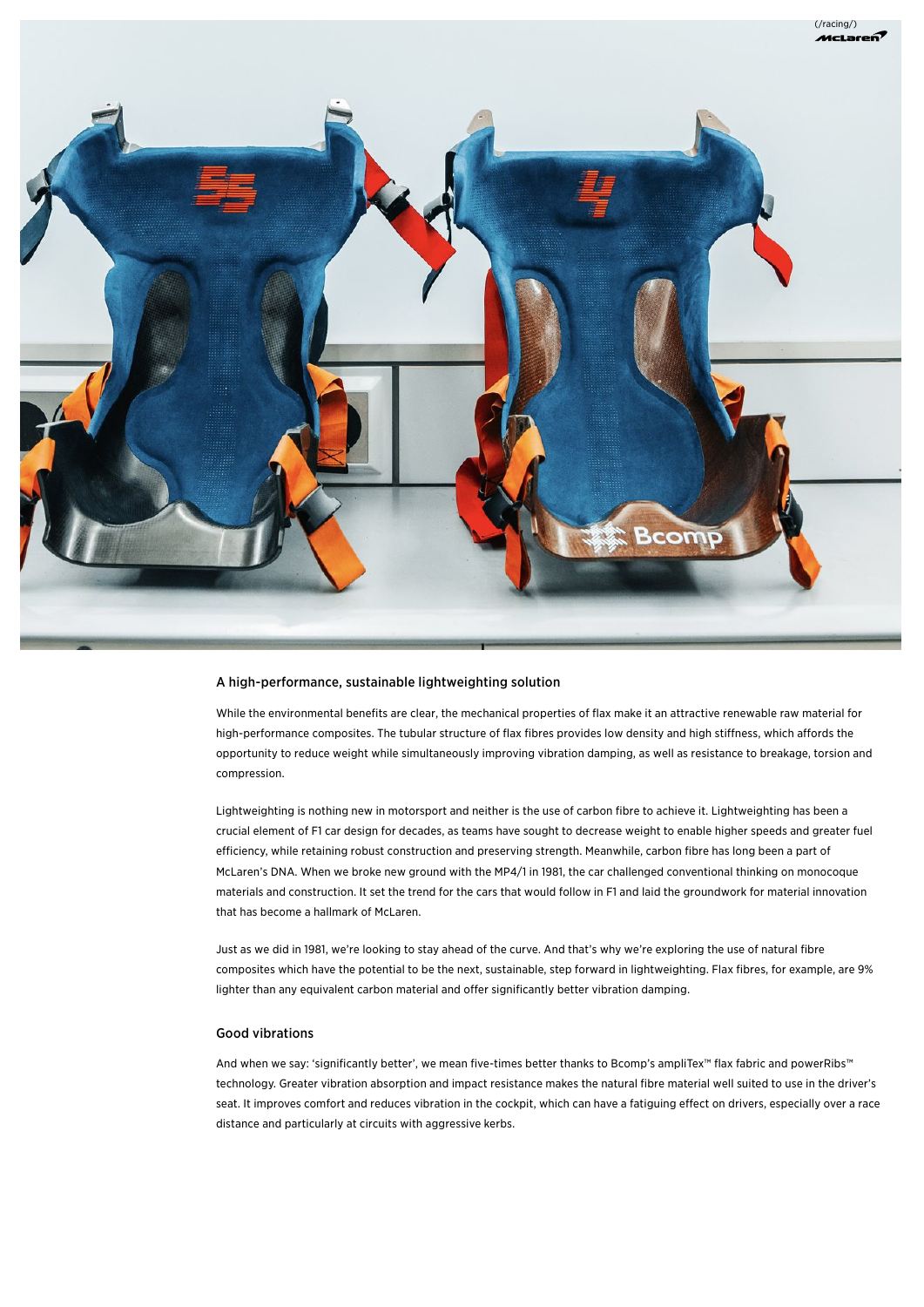

## A high-performance, sustainable lightweighting solution

While the environmental benefits are clear, the mechanical properties of flax make it an attractive renewable raw material for high-performance composites. The tubular structure of flax fibres provides low density and high stiffness, which affords the opportunity to reduce weight while simultaneously improving vibration damping, as well as resistance to breakage, torsion and compression.

Lightweighting is nothing new in motorsport and neither is the use of carbon fibre to achieve it. Lightweighting has been a crucial element of F1 car design for decades, as teams have sought to decrease weight to enable higher speeds and greater fuel efficiency, while retaining robust construction and preserving strength. Meanwhile, carbon fibre has long been a part of McLaren's DNA. When we broke new ground with the MP4/1 in 1981, the car challenged conventional thinking on monocoque materials and construction. It set the trend for the cars that would follow in F1 and laid the groundwork for material innovation that has become a hallmark of McLaren.

Just as we did in 1981, we're looking to stay ahead of the curve. And that's why we're exploring the use of natural fibre composites which have the potential to be the next, sustainable, step forward in lightweighting. Flax fibres, for example, are 9% lighter than any equivalent carbon material and offer significantly better vibration damping.

# Good vibrations

And when we say: 'significantly better', we mean five-times better thanks to Bcomp's ampliTex™ flax fabric and powerRibs™ technology. Greater vibration absorption and impact resistance makes the natural fibre material well suited to use in the driver's seat. It improves comfort and reduces vibration in the cockpit, which can have a fatiguing effect on drivers, especially over a race distance and particularly at circuits with aggressive kerbs.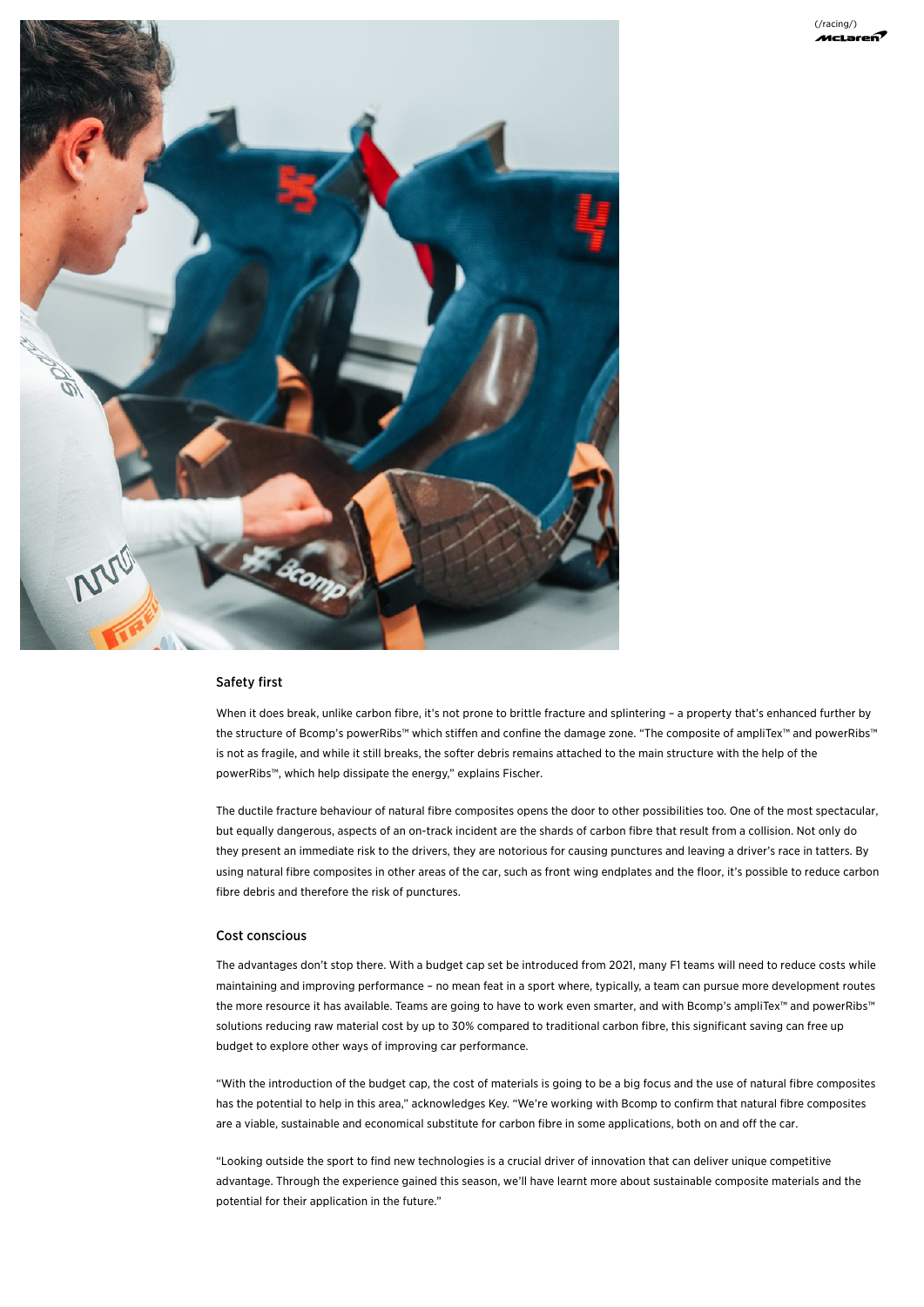

## Safety first

When it does break, unlike carbon fibre, it's not prone to brittle fracture and splintering – a property that's enhanced further by the structure of Bcomp's powerRibs™ which stiffen and confine the damage zone. "The composite of ampliTex™ and powerRibs™ is not as fragile, and while it still breaks, the softer debris remains attached to the main structure with the help of the powerRibs™, which help dissipate the energy," explains Fischer.

The ductile fracture behaviour of natural fibre composites opens the door to other possibilities too. One of the most spectacular, but equally dangerous, aspects of an on-track incident are the shards of carbon fibre that result from a collision. Not only do they present an immediate risk to the drivers, they are notorious for causing punctures and leaving a driver's race in tatters. By using natural fibre composites in other areas of the car, such as front wing endplates and the floor, it's possible to reduce carbon fibre debris and therefore the risk of punctures.

#### Cost conscious

The advantages don't stop there. With a budget cap set be introduced from 2021, many F1 teams will need to reduce costs while maintaining and improving performance – no mean feat in a sport where, typically, a team can pursue more development routes the more resource it has available. Teams are going to have to work even smarter, and with Bcomp's ampliTex™ and powerRibs™ solutions reducing raw material cost by up to 30% compared to traditional carbon fibre, this significant saving can free up budget to explore other ways of improving car performance.

"With the introduction of the budget cap, the cost of materials is going to be a big focus and the use of natural fibre composites has the potential to help in this area," acknowledges Key. "We're working with Bcomp to confirm that natural fibre composites are a viable, sustainable and economical substitute for carbon fibre in some applications, both on and off the car.

"Looking outside the sport to find new technologies is a crucial driver of innovation that can deliver unique competitive advantage. Through the experience gained this season, we'll have learnt more about sustainable composite materials and the potential for their application in the future."